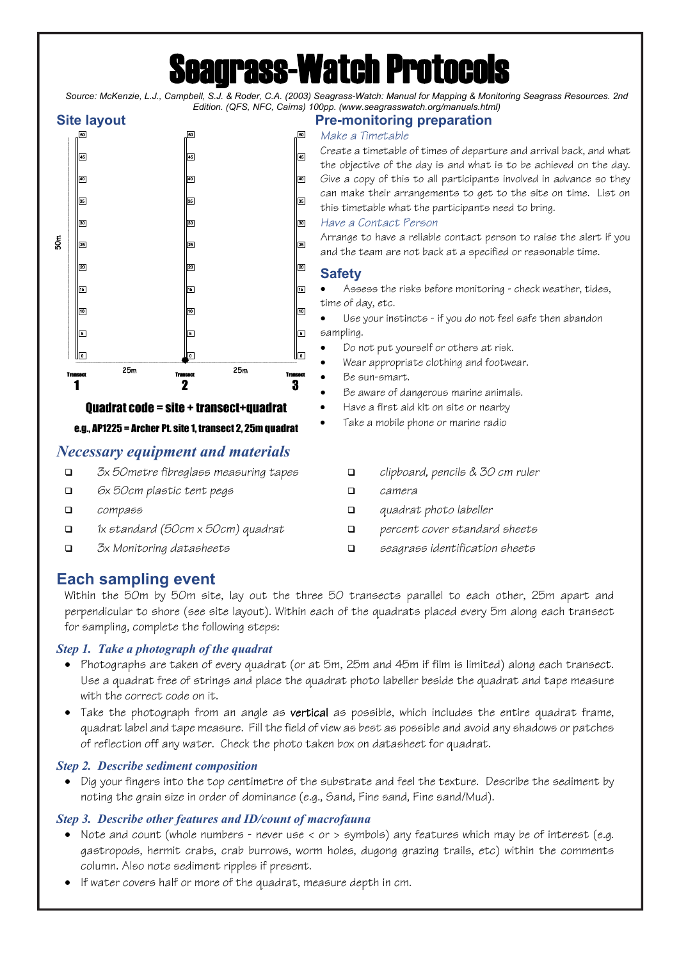# **grass-Watch Protocol**

*Source: McKenzie, L.J., Campbell, S.J. & Roder, C.A. (2003) Seagrass-Watch: Manual for Mapping & Monitoring Seagrass Resources. 2nd Edition. (QFS, NFC, Cairns) 100pp. (www.seagrasswatch.org/manuals.html)*



e.g., AP1225 = Archer Pt. site 1, transect 2, 25m quadrat

## *Necessary equipment and materials*

- *3x 50metre fibreglass measuring tapes*
- *6x 50cm plastic tent pegs*
- *compass*
- *1x standard (50cm x 50cm) quadrat*
- *3x Monitoring datasheets*

# **Site layout Pre-monitoring preparation**

#### *Make a Timetable*

Create a timetable of times of departure and arrival back, and what the objective of the day is and what is to be achieved on the day. Give a copy of this to all participants involved in advance so they can make their arrangements to get to the site on time. List on this timetable what the participants need to bring.

#### *Have a Contact Person*

Arrange to have a reliable contact person to raise the alert if you and the team are not back at a specified or reasonable time.

## **Safety**

- Assess the risks before monitoring check weather, tides, time of day, etc.
- Use your instincts if you do not feel safe then abandon sampling.
- Do not put yourself or others at risk.
- Wear appropriate clothing and footwear.
- Be sun-smart.
- Be aware of dangerous marine animals.
- Have a first aid kit on site or nearby
- Take a mobile phone or marine radio
	- *clipboard, pencils & 30 cm ruler*
	- *camera*
	- *quadrat photo labeller*
	- *percent cover standard sheets*
	- *seagrass identification sheets*

# **Each sampling event**

Within the 50m by 50m site, lay out the three 50 transects parallel to each other, 25m apart and perpendicular to shore (see site layout). Within each of the quadrats placed every 5m along each transect for sampling, complete the following steps:

### *Step 1. Take a photograph of the quadrat*

- Photographs are taken of every quadrat (or at 5m, 25m and 45m if film is limited) along each transect. Use a quadrat free of strings and place the quadrat photo labeller beside the quadrat and tape measure with the correct code on it.
- Take the photograph from an angle as **vertical** as possible, which includes the entire quadrat frame, quadrat label and tape measure. Fill the field of view as best as possible and avoid any shadows or patches of reflection off any water. Check the photo taken box on datasheet for quadrat.

### *Step 2. Describe sediment composition*

• Dig your fingers into the top centimetre of the substrate and feel the texture. Describe the sediment by noting the grain size in order of dominance (e.g., Sand, Fine sand, Fine sand/Mud).

### *Step 3. Describe other features and ID/count of macrofauna*

- Note and count (whole numbers never use < or > symbols) any features which may be of interest (e.g. gastropods, hermit crabs, crab burrows, worm holes, dugong grazing trails, etc) within the comments column. Also note sediment ripples if present.
- If water covers half or more of the quadrat, measure depth in cm.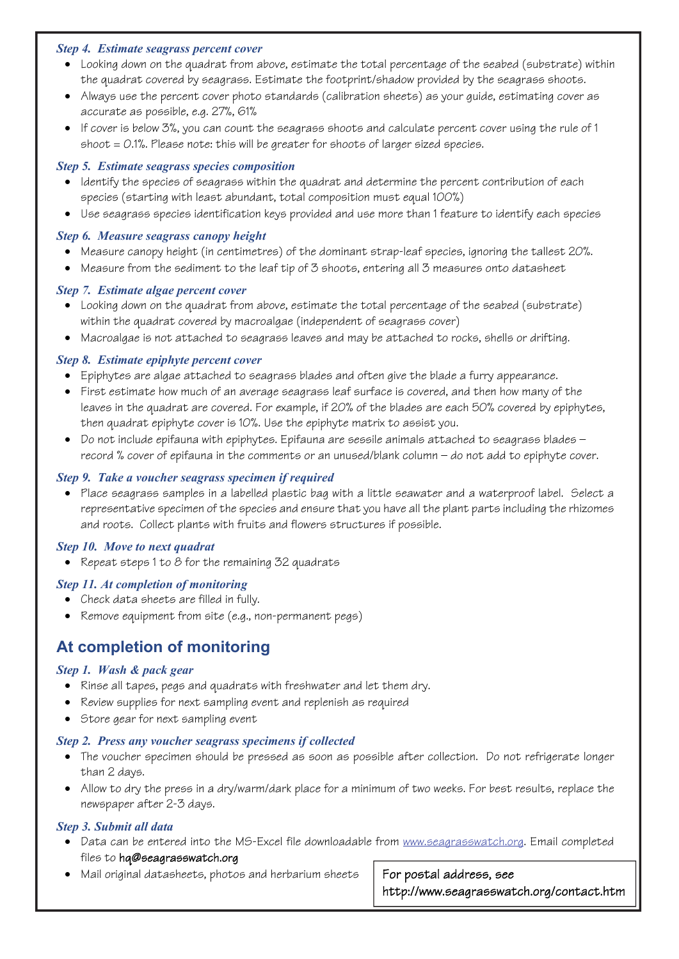#### *Step 4. Estimate seagrass percent cover*

- Looking down on the quadrat from above, estimate the total percentage of the seabed (substrate) within the quadrat covered by seagrass. Estimate the footprint/shadow provided by the seagrass shoots.
- Always use the percent cover photo standards (calibration sheets) as your quide, estimating cover as accurate as possible, e.g. 27%, 61%
- If cover is below 3%, you can count the seagrass shoots and calculate percent cover using the rule of 1  $shoot = 0.1%$ . Please note: this will be greater for shoots of larger sized species.

#### *Step 5. Estimate seagrass species composition*

- Identify the species of seagrass within the quadrat and determine the percent contribution of each species (starting with least abundant, total composition must equal 100%)
- Use seagrass species identification keys provided and use more than 1 feature to identify each species

#### *Step 6. Measure seagrass canopy height*

- Measure canopy height (in centimetres) of the dominant strap-leaf species, ignoring the tallest 20%.
- Measure from the sediment to the leaf tip of 3 shoots, entering all 3 measures onto datasheet

#### *Step 7. Estimate algae percent cover*

- Looking down on the quadrat from above, estimate the total percentage of the seabed (substrate) within the quadrat covered by macroalgae (independent of seagrass cover)
- Macroalgae is not attached to seagrass leaves and may be attached to rocks, shells or drifting.

#### *Step 8. Estimate epiphyte percent cover*

- Epiphytes are algae attached to seagrass blades and often give the blade a furry appearance.
- First estimate how much of an average seagrass leaf surface is covered, and then how many of the leaves in the quadrat are covered. For example, if 20% of the blades are each 50% covered by epiphytes, then quadrat epiphyte cover is 10%. Use the epiphyte matrix to assist you.
- Do not include epifauna with epiphytes. Epifauna are sessile animals attached to seagrass blades record % cover of epifauna in the comments or an unused/blank column — do not add to epiphyte cover.

#### *Step 9. Take a voucher seagrass specimen if required*

• Place seagrass samples in a labelled plastic bag with a little seawater and a waterproof label. Select a representative specimen of the species and ensure that you have all the plant parts including the rhizomes and roots. Collect plants with fruits and flowers structures if possible.

#### *Step 10. Move to next quadrat*

• Repeat steps 1 to 8 for the remaining 32 quadrats

- **Step 11. At completion of monitoring**<br>**•** Check data sheets are filled in fully.
	- Remove equipment from site (e.g., non-permanent pegs)

# **At completion of monitoring**

#### *Step 1. Wash & pack gear*

- Rinse all tapes, pegs and quadrats with freshwater and let them dry.
- Review supplies for next sampling event and replenish as required
- Store gear for next sampling event

#### *Step 2. Press any voucher seagrass specimens if collected*

- The voucher specimen should be pressed as soon as possible after collection. Do not refrigerate longer than 2 days.
- Allow to dry the press in a dry/warm/dark place for a minimum of two weeks. For best results, replace the newspaper after 2-3 days.

#### *Step 3. Submit all data*

- Data can be entered into the MS-Excel file downloadable from www.seagrasswatch.org. Email completed files to hq@seagrasswatch.org
- Mail original datasheets, photos and herbarium sheets  $\Box$  For postal address, see

http://www.seagrasswatch.org/contact.htm